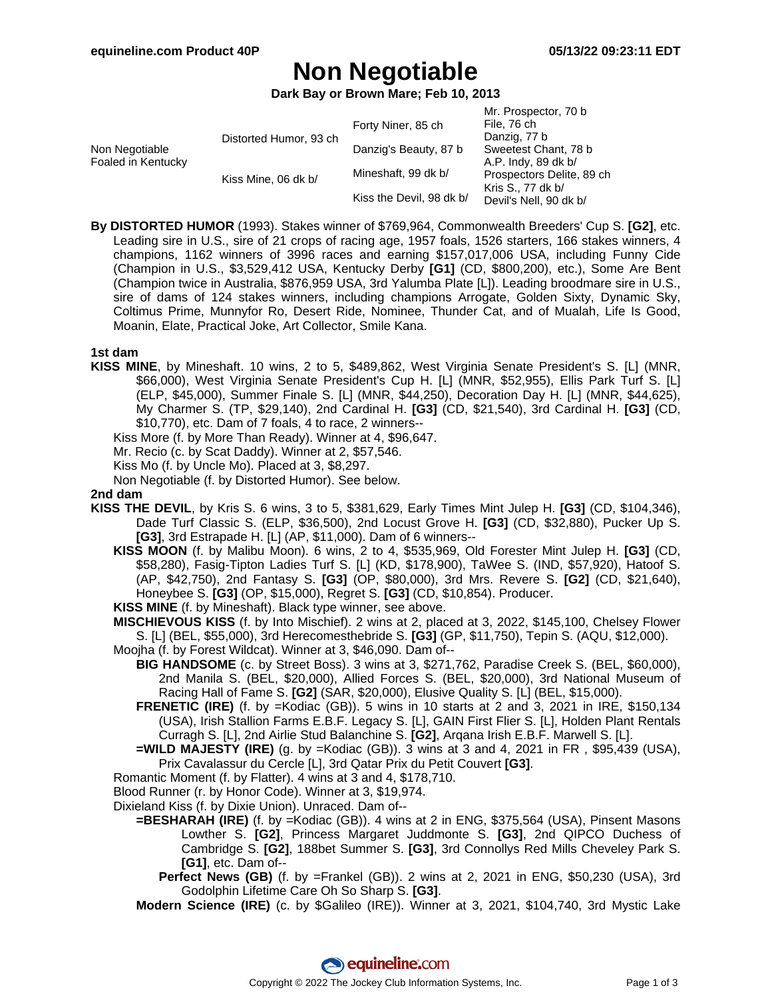Mr. Prospector, 70 b

# **Non Negotiable**

**Dark Bay or Brown Mare; Feb 10, 2013**

|                                           |                          | IVII. PIOSPECIOI, TU D    |
|-------------------------------------------|--------------------------|---------------------------|
|                                           | Forty Niner, 85 ch       | File, 76 ch               |
|                                           |                          | Danzig, 77 b              |
| Non Negotiable                            | Danzig's Beauty, 87 b    | Sweetest Chant, 78 b      |
| Foaled in Kentucky<br>Kiss Mine, 06 dk b/ |                          | A.P. Indy, 89 dk b/       |
|                                           | Mineshaft, 99 dk b/      | Prospectors Delite, 89 ch |
|                                           | Kiss the Devil, 98 dk b/ | Kris S., 77 dk b/         |
|                                           |                          | Devil's Nell, 90 dk b/    |
|                                           | Distorted Humor, 93 ch   |                           |

**By DISTORTED HUMOR** (1993). Stakes winner of \$769,964, Commonwealth Breeders' Cup S. **[G2]**, etc. Leading sire in U.S., sire of 21 crops of racing age, 1957 foals, 1526 starters, 166 stakes winners, 4 champions, 1162 winners of 3996 races and earning \$157,017,006 USA, including Funny Cide (Champion in U.S., \$3,529,412 USA, Kentucky Derby **[G1]** (CD, \$800,200), etc.), Some Are Bent (Champion twice in Australia, \$876,959 USA, 3rd Yalumba Plate [L]). Leading broodmare sire in U.S., sire of dams of 124 stakes winners, including champions Arrogate, Golden Sixty, Dynamic Sky, Coltimus Prime, Munnyfor Ro, Desert Ride, Nominee, Thunder Cat, and of Mualah, Life Is Good, Moanin, Elate, Practical Joke, Art Collector, Smile Kana.

## **1st dam**

- **KISS MINE**, by Mineshaft. 10 wins, 2 to 5, \$489,862, West Virginia Senate President's S. [L] (MNR, \$66,000), West Virginia Senate President's Cup H. [L] (MNR, \$52,955), Ellis Park Turf S. [L] (ELP, \$45,000), Summer Finale S. [L] (MNR, \$44,250), Decoration Day H. [L] (MNR, \$44,625), My Charmer S. (TP, \$29,140), 2nd Cardinal H. **[G3]** (CD, \$21,540), 3rd Cardinal H. **[G3]** (CD, \$10,770), etc. Dam of 7 foals, 4 to race, 2 winners--
	- Kiss More (f. by More Than Ready). Winner at 4, \$96,647.
	- Mr. Recio (c. by Scat Daddy). Winner at 2, \$57,546.
	- Kiss Mo (f. by Uncle Mo). Placed at 3, \$8,297.
	- Non Negotiable (f. by Distorted Humor). See below.

#### **2nd dam**

- **KISS THE DEVIL**, by Kris S. 6 wins, 3 to 5, \$381,629, Early Times Mint Julep H. **[G3]** (CD, \$104,346), Dade Turf Classic S. (ELP, \$36,500), 2nd Locust Grove H. **[G3]** (CD, \$32,880), Pucker Up S. **[G3]**, 3rd Estrapade H. [L] (AP, \$11,000). Dam of 6 winners--
	- **KISS MOON** (f. by Malibu Moon). 6 wins, 2 to 4, \$535,969, Old Forester Mint Julep H. **[G3]** (CD, \$58,280), Fasig-Tipton Ladies Turf S. [L] (KD, \$178,900), TaWee S. (IND, \$57,920), Hatoof S. (AP, \$42,750), 2nd Fantasy S. **[G3]** (OP, \$80,000), 3rd Mrs. Revere S. **[G2]** (CD, \$21,640), Honeybee S. **[G3]** (OP, \$15,000), Regret S. **[G3]** (CD, \$10,854). Producer.
	- **KISS MINE** (f. by Mineshaft). Black type winner, see above.

**MISCHIEVOUS KISS** (f. by Into Mischief). 2 wins at 2, placed at 3, 2022, \$145,100, Chelsey Flower S. [L] (BEL, \$55,000), 3rd Herecomesthebride S. **[G3]** (GP, \$11,750), Tepin S. (AQU, \$12,000).

- Moojha (f. by Forest Wildcat). Winner at 3, \$46,090. Dam of--
	- **BIG HANDSOME** (c. by Street Boss). 3 wins at 3, \$271,762, Paradise Creek S. (BEL, \$60,000), 2nd Manila S. (BEL, \$20,000), Allied Forces S. (BEL, \$20,000), 3rd National Museum of Racing Hall of Fame S. **[G2]** (SAR, \$20,000), Elusive Quality S. [L] (BEL, \$15,000).
	- **FRENETIC (IRE)** (f. by =Kodiac (GB)). 5 wins in 10 starts at 2 and 3, 2021 in IRE, \$150,134 (USA), Irish Stallion Farms E.B.F. Legacy S. [L], GAIN First Flier S. [L], Holden Plant Rentals Curragh S. [L], 2nd Airlie Stud Balanchine S. **[G2]**, Arqana Irish E.B.F. Marwell S. [L].
	- **=WILD MAJESTY (IRE)** (g. by =Kodiac (GB)). 3 wins at 3 and 4, 2021 in FR , \$95,439 (USA), Prix Cavalassur du Cercle [L], 3rd Qatar Prix du Petit Couvert **[G3]**.
- Romantic Moment (f. by Flatter). 4 wins at 3 and 4, \$178,710.
- Blood Runner (r. by Honor Code). Winner at 3, \$19,974.
- Dixieland Kiss (f. by Dixie Union). Unraced. Dam of--
	- **=BESHARAH (IRE)** (f. by =Kodiac (GB)). 4 wins at 2 in ENG, \$375,564 (USA), Pinsent Masons Lowther S. **[G2]**, Princess Margaret Juddmonte S. **[G3]**, 2nd QIPCO Duchess of Cambridge S. **[G2]**, 188bet Summer S. **[G3]**, 3rd Connollys Red Mills Cheveley Park S. **[G1]**, etc. Dam of--
		- **Perfect News (GB)** (f. by =Frankel (GB)). 2 wins at 2, 2021 in ENG, \$50,230 (USA), 3rd Godolphin Lifetime Care Oh So Sharp S. **[G3]**.
	- **Modern Science (IRE)** (c. by \$Galileo (IRE)). Winner at 3, 2021, \$104,740, 3rd Mystic Lake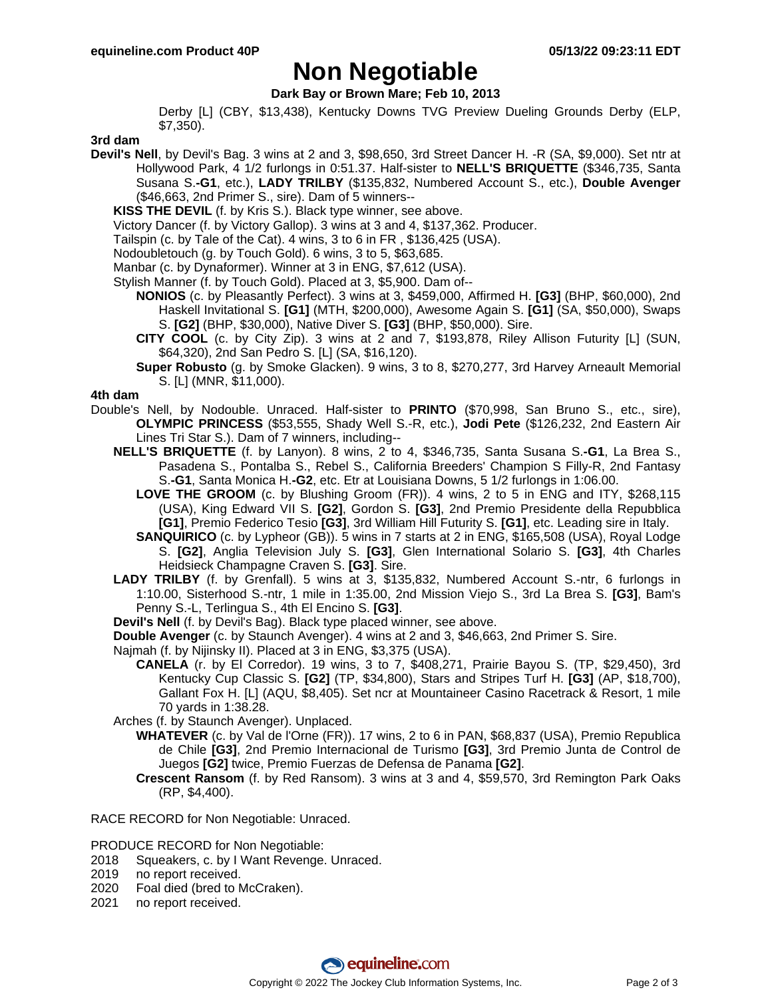# **Non Negotiable**

**Dark Bay or Brown Mare; Feb 10, 2013**

Derby [L] (CBY, \$13,438), Kentucky Downs TVG Preview Dueling Grounds Derby (ELP, \$7,350).

## **3rd dam**

- **Devil's Nell**, by Devil's Bag. 3 wins at 2 and 3, \$98,650, 3rd Street Dancer H. -R (SA, \$9,000). Set ntr at Hollywood Park, 4 1/2 furlongs in 0:51.37. Half-sister to **NELL'S BRIQUETTE** (\$346,735, Santa Susana S.**-G1**, etc.), **LADY TRILBY** (\$135,832, Numbered Account S., etc.), **Double Avenger** (\$46,663, 2nd Primer S., sire). Dam of 5 winners--
	- **KISS THE DEVIL** (f. by Kris S.). Black type winner, see above.
	- Victory Dancer (f. by Victory Gallop). 3 wins at 3 and 4, \$137,362. Producer.
	- Tailspin (c. by Tale of the Cat). 4 wins, 3 to 6 in FR , \$136,425 (USA).
	- Nodoubletouch (g. by Touch Gold). 6 wins, 3 to 5, \$63,685.
	- Manbar (c. by Dynaformer). Winner at 3 in ENG, \$7,612 (USA).
	- Stylish Manner (f. by Touch Gold). Placed at 3, \$5,900. Dam of--
		- **NONIOS** (c. by Pleasantly Perfect). 3 wins at 3, \$459,000, Affirmed H. **[G3]** (BHP, \$60,000), 2nd Haskell Invitational S. **[G1]** (MTH, \$200,000), Awesome Again S. **[G1]** (SA, \$50,000), Swaps S. **[G2]** (BHP, \$30,000), Native Diver S. **[G3]** (BHP, \$50,000). Sire.
		- **CITY COOL** (c. by City Zip). 3 wins at 2 and 7, \$193,878, Riley Allison Futurity [L] (SUN, \$64,320), 2nd San Pedro S. [L] (SA, \$16,120).
		- **Super Robusto** (g. by Smoke Glacken). 9 wins, 3 to 8, \$270,277, 3rd Harvey Arneault Memorial S. [L] (MNR, \$11,000).

## **4th dam**

- Double's Nell, by Nodouble. Unraced. Half-sister to **PRINTO** (\$70,998, San Bruno S., etc., sire), **OLYMPIC PRINCESS** (\$53,555, Shady Well S.-R, etc.), **Jodi Pete** (\$126,232, 2nd Eastern Air Lines Tri Star S.). Dam of 7 winners, including--
	- **NELL'S BRIQUETTE** (f. by Lanyon). 8 wins, 2 to 4, \$346,735, Santa Susana S.**-G1**, La Brea S., Pasadena S., Pontalba S., Rebel S., California Breeders' Champion S Filly-R, 2nd Fantasy S.**-G1**, Santa Monica H.**-G2**, etc. Etr at Louisiana Downs, 5 1/2 furlongs in 1:06.00.
		- **LOVE THE GROOM** (c. by Blushing Groom (FR)). 4 wins, 2 to 5 in ENG and ITY, \$268,115 (USA), King Edward VII S. **[G2]**, Gordon S. **[G3]**, 2nd Premio Presidente della Repubblica **[G1]**, Premio Federico Tesio **[G3]**, 3rd William Hill Futurity S. **[G1]**, etc. Leading sire in Italy.
		- **SANQUIRICO** (c. by Lypheor (GB)). 5 wins in 7 starts at 2 in ENG, \$165,508 (USA), Royal Lodge S. **[G2]**, Anglia Television July S. **[G3]**, Glen International Solario S. **[G3]**, 4th Charles Heidsieck Champagne Craven S. **[G3]**. Sire.
	- **LADY TRILBY** (f. by Grenfall). 5 wins at 3, \$135,832, Numbered Account S.-ntr, 6 furlongs in 1:10.00, Sisterhood S.-ntr, 1 mile in 1:35.00, 2nd Mission Viejo S., 3rd La Brea S. **[G3]**, Bam's Penny S.-L, Terlingua S., 4th El Encino S. **[G3]**.
	- **Devil's Nell** (f. by Devil's Bag). Black type placed winner, see above.
	- **Double Avenger** (c. by Staunch Avenger). 4 wins at 2 and 3, \$46,663, 2nd Primer S. Sire.
	- Najmah (f. by Nijinsky II). Placed at 3 in ENG, \$3,375 (USA).
		- **CANELA** (r. by El Corredor). 19 wins, 3 to 7, \$408,271, Prairie Bayou S. (TP, \$29,450), 3rd Kentucky Cup Classic S. **[G2]** (TP, \$34,800), Stars and Stripes Turf H. **[G3]** (AP, \$18,700), Gallant Fox H. [L] (AQU, \$8,405). Set ncr at Mountaineer Casino Racetrack & Resort, 1 mile 70 yards in 1:38.28.
	- Arches (f. by Staunch Avenger). Unplaced.
		- **WHATEVER** (c. by Val de l'Orne (FR)). 17 wins, 2 to 6 in PAN, \$68,837 (USA), Premio Republica de Chile **[G3]**, 2nd Premio Internacional de Turismo **[G3]**, 3rd Premio Junta de Control de Juegos **[G2]** twice, Premio Fuerzas de Defensa de Panama **[G2]**.
		- **Crescent Ransom** (f. by Red Ransom). 3 wins at 3 and 4, \$59,570, 3rd Remington Park Oaks (RP, \$4,400).

RACE RECORD for Non Negotiable: Unraced.

PRODUCE RECORD for Non Negotiable:

- 2018 Squeakers, c. by I Want Revenge. Unraced.
- 2019 no report received.
- 2020 Foal died (bred to McCraken).
- 2021 no report received.